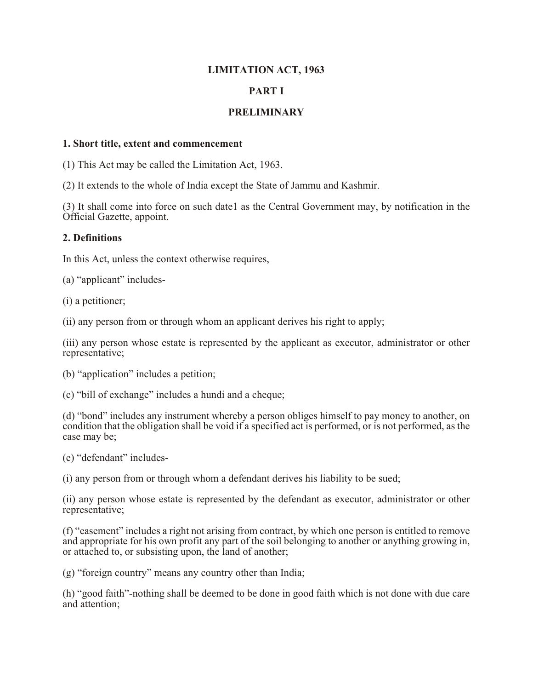# **LIMITATION ACT, 1963**

# **PART I**

# **PRELIMINARY**

#### **1. Short title, extent and commencement**

(1) This Act may be called the Limitation Act, 1963.

(2) It extends to the whole of India except the State of Jammu and Kashmir.

(3) It shall come into force on such date1 as the Central Government may, by notification in the Official Gazette, appoint.

#### **2. Definitions**

In this Act, unless the context otherwise requires,

(a) "applicant" includes-

(i) a petitioner;

(ii) any person from or through whom an applicant derives his right to apply;

(iii) any person whose estate is represented by the applicant as executor, administrator or other representative;

(b) "application" includes a petition;

(c) "bill of exchange" includes a hundi and a cheque;

(d) "bond" includes any instrument whereby a person obliges himself to pay money to another, on condition that the obligation shall be void if a specified act is performed, or is not performed, as the case may be;

(e) "defendant" includes-

(i) any person from or through whom a defendant derives his liability to be sued;

(ii) any person whose estate is represented by the defendant as executor, administrator or other representative;

(f) "easement" includes a right not arising from contract, by which one person is entitled to remove and appropriate for his own profit any part of the soil belonging to another or anything growing in, or attached to, or subsisting upon, the land of another;

(g) "foreign country" means any country other than India;

(h) "good faith"-nothing shall be deemed to be done in good faith which is not done with due care and attention;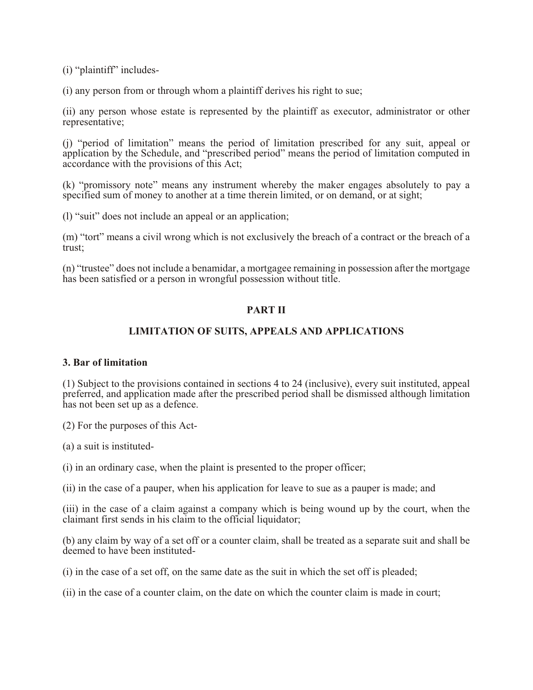(i) "plaintiff" includes-

(i) any person from or through whom a plaintiff derives his right to sue;

(ii) any person whose estate is represented by the plaintiff as executor, administrator or other representative;

(j) "period of limitation" means the period of limitation prescribed for any suit, appeal or application by the Schedule, and "prescribed period" means the period of limitation computed in accordance with the provisions of this Act;

(k) "promissory note" means any instrument whereby the maker engages absolutely to pay a specified sum of money to another at a time therein limited, or on demand, or at sight;

(l) "suit" does not include an appeal or an application;

(m) "tort" means a civil wrong which is not exclusively the breach of a contract or the breach of a trust;

(n) "trustee" does not include a benamidar, a mortgagee remaining in possession after the mortgage has been satisfied or a person in wrongful possession without title.

## **PART II**

#### **LIMITATION OF SUITS, APPEALS AND APPLICATIONS**

#### **3. Bar of limitation**

(1) Subject to the provisions contained in sections 4 to 24 (inclusive), every suit instituted, appeal preferred, and application made after the prescribed period shall be dismissed although limitation has not been set up as a defence.

(2) For the purposes of this Act-

(a) a suit is instituted-

(i) in an ordinary case, when the plaint is presented to the proper officer;

(ii) in the case of a pauper, when his application for leave to sue as a pauper is made; and

(iii) in the case of a claim against a company which is being wound up by the court, when the claimant first sends in his claim to the official liquidator;

(b) any claim by way of a set off or a counter claim, shall be treated as a separate suit and shall be deemed to have been instituted-

(i) in the case of a set off, on the same date as the suit in which the set off is pleaded;

(ii) in the case of a counter claim, on the date on which the counter claim is made in court;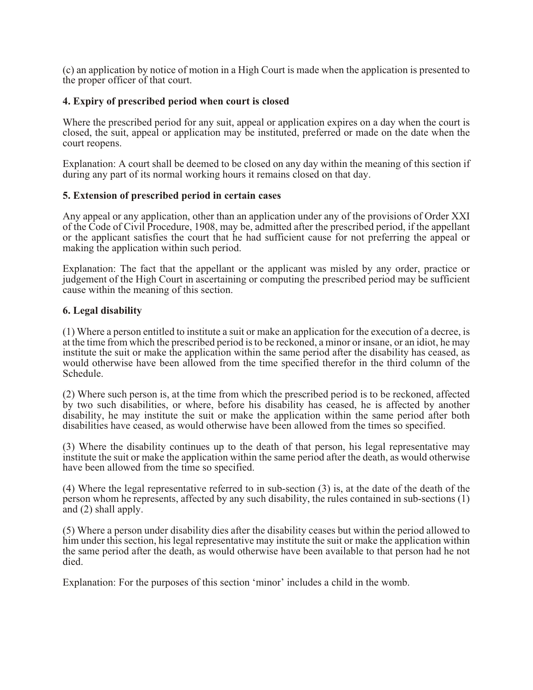(c) an application by notice of motion in a High Court is made when the application is presented to the proper officer of that court.

#### **4. Expiry of prescribed period when court is closed**

Where the prescribed period for any suit, appeal or application expires on a day when the court is closed, the suit, appeal or application may be instituted, preferred or made on the date when the court reopens.

Explanation: A court shall be deemed to be closed on any day within the meaning of this section if during any part of its normal working hours it remains closed on that day.

#### **5. Extension of prescribed period in certain cases**

Any appeal or any application, other than an application under any of the provisions of Order XXI of the Code of Civil Procedure, 1908, may be, admitted after the prescribed period, if the appellant or the applicant satisfies the court that he had sufficient cause for not preferring the appeal or making the application within such period.

Explanation: The fact that the appellant or the applicant was misled by any order, practice or judgement of the High Court in ascertaining or computing the prescribed period may be sufficient cause within the meaning of this section.

#### **6. Legal disability**

(1) Where a person entitled to institute a suit or make an application for the execution of a decree, is at the time from which the prescribed period is to be reckoned, a minor or insane, or an idiot, he may institute the suit or make the application within the same period after the disability has ceased, as would otherwise have been allowed from the time specified therefor in the third column of the Schedule.

(2) Where such person is, at the time from which the prescribed period is to be reckoned, affected by two such disabilities, or where, before his disability has ceased, he is affected by another disability, he may institute the suit or make the application within the same period after both disabilities have ceased, as would otherwise have been allowed from the times so specified.

(3) Where the disability continues up to the death of that person, his legal representative may institute the suit or make the application within the same period after the death, as would otherwise have been allowed from the time so specified.

(4) Where the legal representative referred to in sub-section (3) is, at the date of the death of the person whom he represents, affected by any such disability, the rules contained in sub-sections (1) and (2) shall apply.

(5) Where a person under disability dies after the disability ceases but within the period allowed to him under this section, his legal representative may institute the suit or make the application within the same period after the death, as would otherwise have been available to that person had he not died.

Explanation: For the purposes of this section 'minor' includes a child in the womb.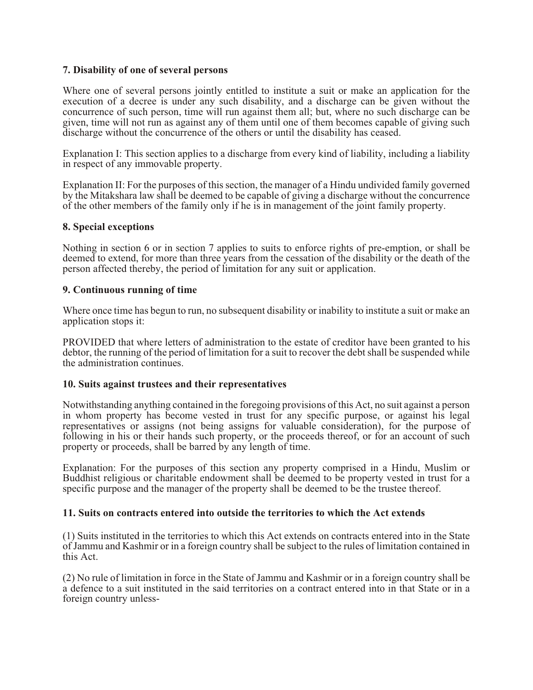## **7. Disability of one of several persons**

Where one of several persons jointly entitled to institute a suit or make an application for the execution of a decree is under any such disability, and a discharge can be given without the concurrence of such person, time will run against them all; but, where no such discharge can be given, time will not run as against any of them until one of them becomes capable of giving such discharge without the concurrence of the others or until the disability has ceased.

Explanation I: This section applies to a discharge from every kind of liability, including a liability in respect of any immovable property.

Explanation II: For the purposes of this section, the manager of a Hindu undivided family governed by the Mitakshara law shall be deemed to be capable of giving a discharge without the concurrence of the other members of the family only if he is in management of the joint family property.

#### **8. Special exceptions**

Nothing in section 6 or in section 7 applies to suits to enforce rights of pre-emption, or shall be deemed to extend, for more than three years from the cessation of the disability or the death of the person affected thereby, the period of limitation for any suit or application.

#### **9. Continuous running of time**

Where once time has begun to run, no subsequent disability or inability to institute a suit or make an application stops it:

PROVIDED that where letters of administration to the estate of creditor have been granted to his debtor, the running of the period of limitation for a suit to recover the debt shall be suspended while the administration continues.

#### **10. Suits against trustees and their representatives**

Notwithstanding anything contained in the foregoing provisions of this Act, no suit against a person in whom property has become vested in trust for any specific purpose, or against his legal representatives or assigns (not being assigns for valuable consideration), for the purpose of following in his or their hands such property, or the proceeds thereof, or for an account of such property or proceeds, shall be barred by any length of time.

Explanation: For the purposes of this section any property comprised in a Hindu, Muslim or Buddhist religious or charitable endowment shall be deemed to be property vested in trust for a specific purpose and the manager of the property shall be deemed to be the trustee thereof.

## **11. Suits on contracts entered into outside the territories to which the Act extends**

(1) Suits instituted in the territories to which this Act extends on contracts entered into in the State of Jammu and Kashmir or in a foreign country shall be subject to the rules of limitation contained in this Act.

(2) No rule of limitation in force in the State of Jammu and Kashmir or in a foreign country shall be a defence to a suit instituted in the said territories on a contract entered into in that State or in a foreign country unless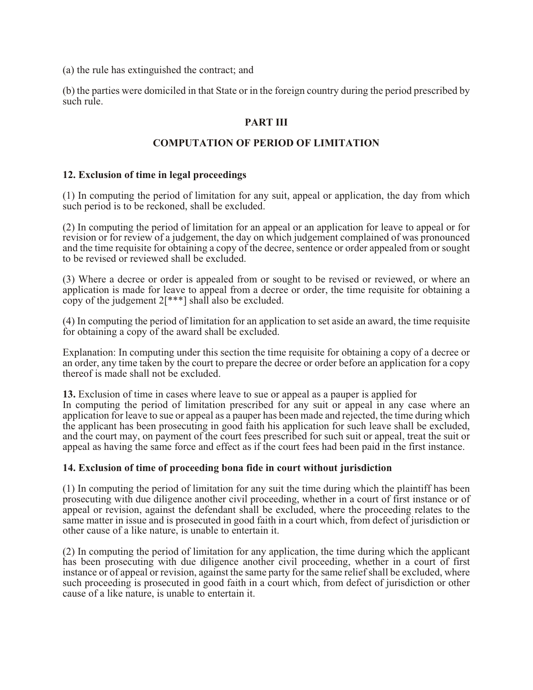(a) the rule has extinguished the contract; and

(b) the parties were domiciled in that State or in the foreign country during the period prescribed by such rule.

# **PART III**

## **COMPUTATION OF PERIOD OF LIMITATION**

#### **12. Exclusion of time in legal proceedings**

(1) In computing the period of limitation for any suit, appeal or application, the day from which such period is to be reckoned, shall be excluded.

(2) In computing the period of limitation for an appeal or an application for leave to appeal or for revision or for review of a judgement, the day on which judgement complained of was pronounced and the time requisite for obtaining a copy of the decree, sentence or order appealed from or sought to be revised or reviewed shall be excluded.

(3) Where a decree or order is appealed from or sought to be revised or reviewed, or where an application is made for leave to appeal from a decree or order, the time requisite for obtaining a copy of the judgement 2[\*\*\*] shall also be excluded.

(4) In computing the period of limitation for an application to set aside an award, the time requisite for obtaining a copy of the award shall be excluded.

Explanation: In computing under this section the time requisite for obtaining a copy of a decree or an order, any time taken by the court to prepare the decree or order before an application for a copy thereof is made shall not be excluded.

**13.** Exclusion of time in cases where leave to sue or appeal as a pauper is applied for In computing the period of limitation prescribed for any suit or appeal in any case where an application for leave to sue or appeal as a pauper has been made and rejected, the time during which the applicant has been prosecuting in good faith his application for such leave shall be excluded, and the court may, on payment of the court fees prescribed for such suit or appeal, treat the suit or appeal as having the same force and effect as if the court fees had been paid in the first instance.

#### **14. Exclusion of time of proceeding bona fide in court without jurisdiction**

(1) In computing the period of limitation for any suit the time during which the plaintiff has been prosecuting with due diligence another civil proceeding, whether in a court of first instance or of appeal or revision, against the defendant shall be excluded, where the proceeding relates to the same matter in issue and is prosecuted in good faith in a court which, from defect of jurisdiction or other cause of a like nature, is unable to entertain it.

(2) In computing the period of limitation for any application, the time during which the applicant has been prosecuting with due diligence another civil proceeding, whether in a court of first instance or of appeal or revision, against the same party for the same relief shall be excluded, where such proceeding is prosecuted in good faith in a court which, from defect of jurisdiction or other cause of a like nature, is unable to entertain it.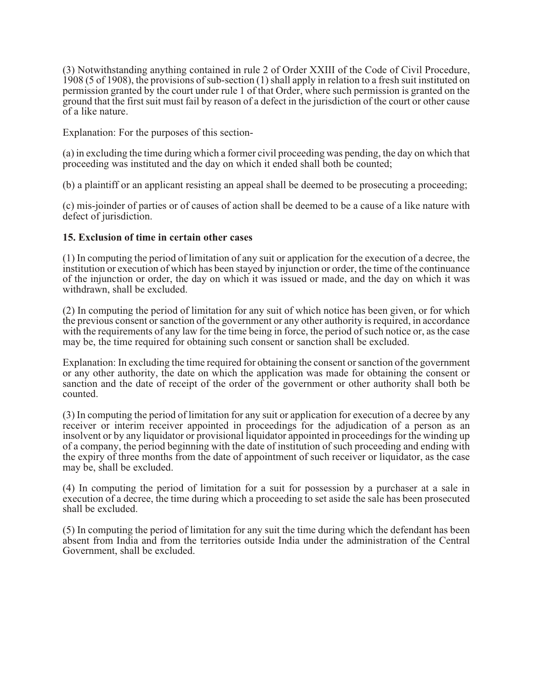(3) Notwithstanding anything contained in rule 2 of Order XXIII of the Code of Civil Procedure, 1908 (5 of 1908), the provisions of sub-section (1) shall apply in relation to a fresh suit instituted on permission granted by the court under rule 1 of that Order, where such permission is granted on the ground that the first suit must fail by reason of a defect in the jurisdiction of the court or other cause of a like nature.

Explanation: For the purposes of this section-

(a) in excluding the time during which a former civil proceeding was pending, the day on which that proceeding was instituted and the day on which it ended shall both be counted;

(b) a plaintiff or an applicant resisting an appeal shall be deemed to be prosecuting a proceeding;

(c) mis-joinder of parties or of causes of action shall be deemed to be a cause of a like nature with defect of jurisdiction.

#### **15. Exclusion of time in certain other cases**

(1) In computing the period of limitation of any suit or application for the execution of a decree, the institution or execution of which has been stayed by injunction or order, the time of the continuance of the injunction or order, the day on which it was issued or made, and the day on which it was withdrawn, shall be excluded.

(2) In computing the period of limitation for any suit of which notice has been given, or for which the previous consent or sanction of the government or any other authority is required, in accordance with the requirements of any law for the time being in force, the period of such notice or, as the case may be, the time required for obtaining such consent or sanction shall be excluded.

Explanation: In excluding the time required for obtaining the consent or sanction of the government or any other authority, the date on which the application was made for obtaining the consent or sanction and the date of receipt of the order of the government or other authority shall both be counted.

(3) In computing the period of limitation for any suit or application for execution of a decree by any receiver or interim receiver appointed in proceedings for the adjudication of a person as an insolvent or by any liquidator or provisional liquidator appointed in proceedings for the winding up of a company, the period beginning with the date of institution of such proceeding and ending with the expiry of three months from the date of appointment of such receiver or liquidator, as the case may be, shall be excluded.

(4) In computing the period of limitation for a suit for possession by a purchaser at a sale in execution of a decree, the time during which a proceeding to set aside the sale has been prosecuted shall be excluded.

(5) In computing the period of limitation for any suit the time during which the defendant has been absent from India and from the territories outside India under the administration of the Central Government, shall be excluded.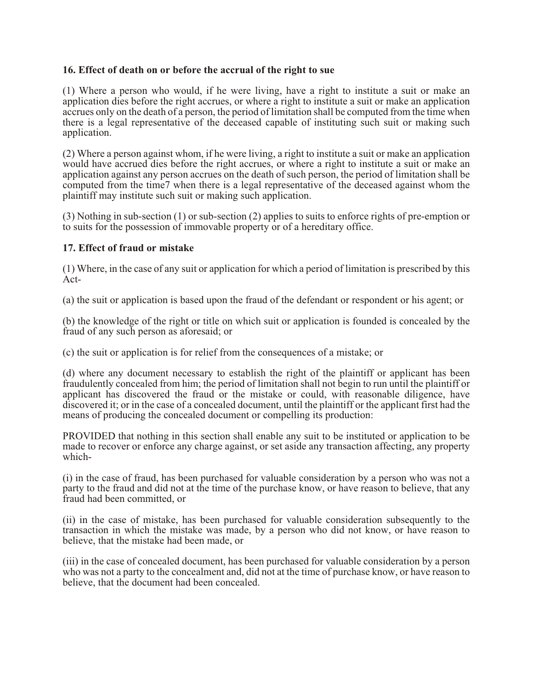## **16. Effect of death on or before the accrual of the right to sue**

(1) Where a person who would, if he were living, have a right to institute a suit or make an application dies before the right accrues, or where a right to institute a suit or make an application accrues only on the death of a person, the period of limitation shall be computed from the time when there is a legal representative of the deceased capable of instituting such suit or making such application.

(2) Where a person against whom, if he were living, a right to institute a suit or make an application would have accrued dies before the right accrues, or where a right to institute a suit or make an application against any person accrues on the death of such person, the period of limitation shall be computed from the time7 when there is a legal representative of the deceased against whom the plaintiff may institute such suit or making such application.

(3) Nothing in sub-section (1) or sub-section (2) applies to suits to enforce rights of pre-emption or to suits for the possession of immovable property or of a hereditary office.

## **17. Effect of fraud or mistake**

(1) Where, in the case of any suit or application for which a period of limitation is prescribed by this Act-

(a) the suit or application is based upon the fraud of the defendant or respondent or his agent; or

(b) the knowledge of the right or title on which suit or application is founded is concealed by the fraud of any such person as aforesaid; or

(c) the suit or application is for relief from the consequences of a mistake; or

(d) where any document necessary to establish the right of the plaintiff or applicant has been fraudulently concealed from him; the period of limitation shall not begin to run until the plaintiff or applicant has discovered the fraud or the mistake or could, with reasonable diligence, have discovered it; or in the case of a concealed document, until the plaintiff or the applicant first had the means of producing the concealed document or compelling its production:

PROVIDED that nothing in this section shall enable any suit to be instituted or application to be made to recover or enforce any charge against, or set aside any transaction affecting, any property which-

(i) in the case of fraud, has been purchased for valuable consideration by a person who was not a party to the fraud and did not at the time of the purchase know, or have reason to believe, that any fraud had been committed, or

(ii) in the case of mistake, has been purchased for valuable consideration subsequently to the transaction in which the mistake was made, by a person who did not know, or have reason to believe, that the mistake had been made, or

(iii) in the case of concealed document, has been purchased for valuable consideration by a person who was not a party to the concealment and, did not at the time of purchase know, or have reason to believe, that the document had been concealed.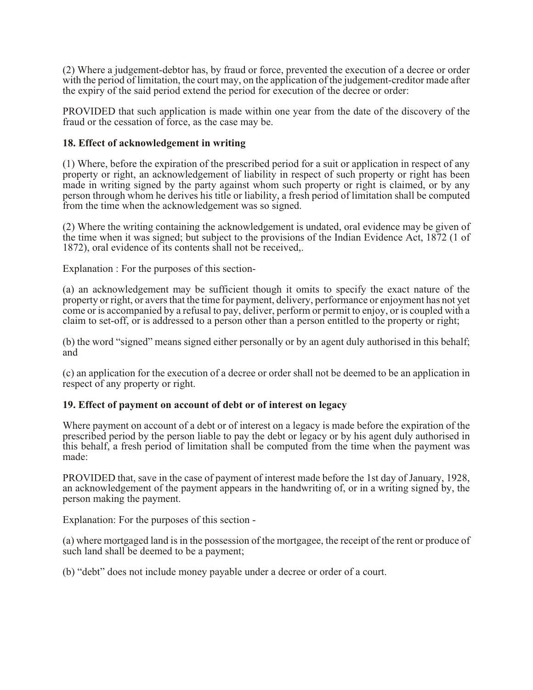(2) Where a judgement-debtor has, by fraud or force, prevented the execution of a decree or order with the period of limitation, the court may, on the application of the judgement-creditor made after the expiry of the said period extend the period for execution of the decree or order:

PROVIDED that such application is made within one year from the date of the discovery of the fraud or the cessation of force, as the case may be.

## **18. Effect of acknowledgement in writing**

(1) Where, before the expiration of the prescribed period for a suit or application in respect of any property or right, an acknowledgement of liability in respect of such property or right has been made in writing signed by the party against whom such property or right is claimed, or by any person through whom he derives his title or liability, a fresh period of limitation shall be computed from the time when the acknowledgement was so signed.

(2) Where the writing containing the acknowledgement is undated, oral evidence may be given of the time when it was signed; but subject to the provisions of the Indian Evidence Act, 1872 (1 of 1872), oral evidence of its contents shall not be received,.

Explanation : For the purposes of this section-

(a) an acknowledgement may be sufficient though it omits to specify the exact nature of the property or right, or avers that the time for payment, delivery, performance or enjoyment has not yet come or is accompanied by a refusal to pay, deliver, perform or permit to enjoy, or is coupled with a claim to set-off, or is addressed to a person other than a person entitled to the property or right;

(b) the word "signed" means signed either personally or by an agent duly authorised in this behalf; and

(c) an application for the execution of a decree or order shall not be deemed to be an application in respect of any property or right.

## **19. Effect of payment on account of debt or of interest on legacy**

Where payment on account of a debt or of interest on a legacy is made before the expiration of the prescribed period by the person liable to pay the debt or legacy or by his agent duly authorised in this behalf, a fresh period of limitation shall be computed from the time when the payment was made:

PROVIDED that, save in the case of payment of interest made before the 1st day of January, 1928, an acknowledgement of the payment appears in the handwriting of, or in a writing signed by, the person making the payment.

Explanation: For the purposes of this section -

(a) where mortgaged land is in the possession of the mortgagee, the receipt of the rent or produce of such land shall be deemed to be a payment;

(b) "debt" does not include money payable under a decree or order of a court.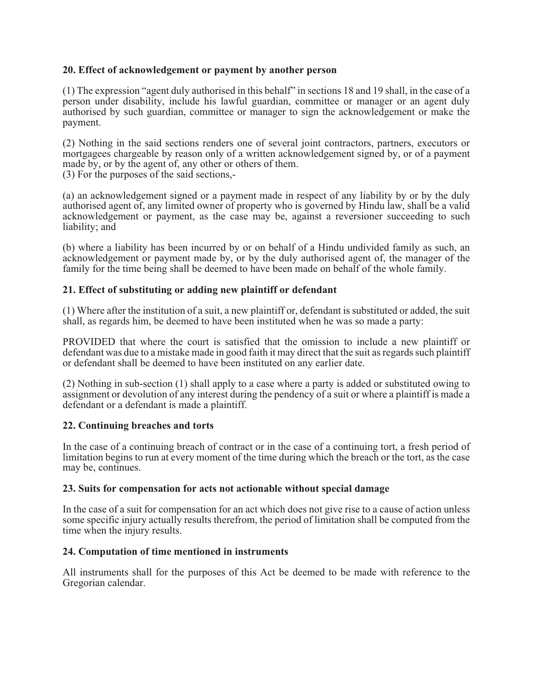## **20. Effect of acknowledgement or payment by another person**

(1) The expression "agent duly authorised in this behalf" in sections 18 and 19 shall, in the case of a person under disability, include his lawful guardian, committee or manager or an agent duly authorised by such guardian, committee or manager to sign the acknowledgement or make the payment.

(2) Nothing in the said sections renders one of several joint contractors, partners, executors or mortgagees chargeable by reason only of a written acknowledgement signed by, or of a payment made by, or by the agent of, any other or others of them.

(3) For the purposes of the said sections,-

(a) an acknowledgement signed or a payment made in respect of any liability by or by the duly authorised agent of, any limited owner of property who is governed by Hindu law, shall be a valid acknowledgement or payment, as the case may be, against a reversioner succeeding to such liability; and

(b) where a liability has been incurred by or on behalf of a Hindu undivided family as such, an acknowledgement or payment made by, or by the duly authorised agent of, the manager of the family for the time being shall be deemed to have been made on behalf of the whole family.

# **21. Effect of substituting or adding new plaintiff or defendant**

(1) Where after the institution of a suit, a new plaintiff or, defendant is substituted or added, the suit shall, as regards him, be deemed to have been instituted when he was so made a party:

PROVIDED that where the court is satisfied that the omission to include a new plaintiff or defendant was due to a mistake made in good faith it may direct that the suit as regards such plaintiff or defendant shall be deemed to have been instituted on any earlier date.

(2) Nothing in sub-section (1) shall apply to a case where a party is added or substituted owing to assignment or devolution of any interest during the pendency of a suit or where a plaintiff is made a defendant or a defendant is made a plaintiff.

## **22. Continuing breaches and torts**

In the case of a continuing breach of contract or in the case of a continuing tort, a fresh period of limitation begins to run at every moment of the time during which the breach or the tort, as the case may be, continues.

#### **23. Suits for compensation for acts not actionable without special damage**

In the case of a suit for compensation for an act which does not give rise to a cause of action unless some specific injury actually results therefrom, the period of limitation shall be computed from the time when the injury results.

#### **24. Computation of time mentioned in instruments**

All instruments shall for the purposes of this Act be deemed to be made with reference to the Gregorian calendar.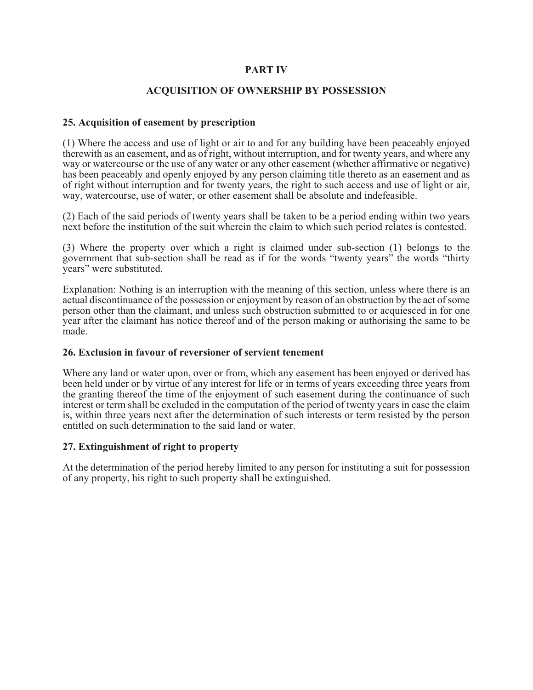## **PART IV**

## **ACQUISITION OF OWNERSHIP BY POSSESSION**

## **25. Acquisition of easement by prescription**

(1) Where the access and use of light or air to and for any building have been peaceably enjoyed therewith as an easement, and as of right, without interruption, and for twenty years, and where any way or watercourse or the use of any water or any other easement (whether affirmative or negative) has been peaceably and openly enjoyed by any person claiming title thereto as an easement and as of right without interruption and for twenty years, the right to such access and use of light or air, way, watercourse, use of water, or other easement shall be absolute and indefeasible.

(2) Each of the said periods of twenty years shall be taken to be a period ending within two years next before the institution of the suit wherein the claim to which such period relates is contested.

(3) Where the property over which a right is claimed under sub-section (1) belongs to the government that sub-section shall be read as if for the words "twenty years" the words "thirty years" were substituted.

Explanation: Nothing is an interruption with the meaning of this section, unless where there is an actual discontinuance of the possession or enjoyment by reason of an obstruction by the act of some person other than the claimant, and unless such obstruction submitted to or acquiesced in for one year after the claimant has notice thereof and of the person making or authorising the same to be made.

## **26. Exclusion in favour of reversioner of servient tenement**

Where any land or water upon, over or from, which any easement has been enjoyed or derived has been held under or by virtue of any interest for life or in terms of years exceeding three years from the granting thereof the time of the enjoyment of such easement during the continuance of such interest or term shall be excluded in the computation of the period of twenty years in case the claim is, within three years next after the determination of such interests or term resisted by the person entitled on such determination to the said land or water.

## **27. Extinguishment of right to property**

At the determination of the period hereby limited to any person for instituting a suit for possession of any property, his right to such property shall be extinguished.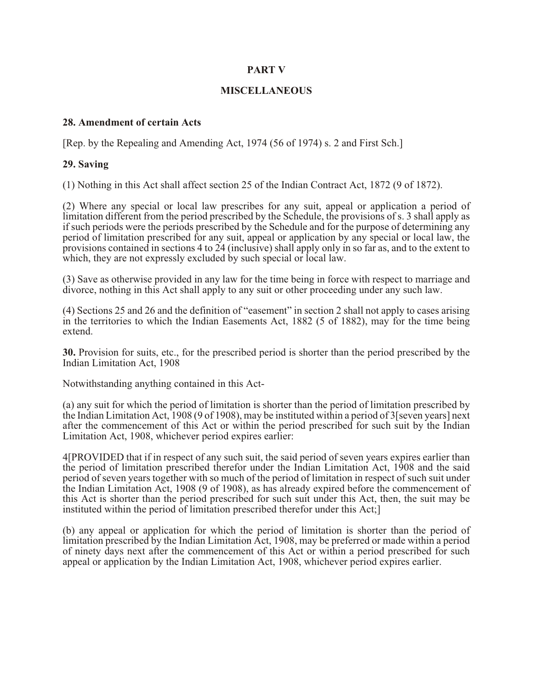#### **PART V**

#### **MISCELLANEOUS**

#### **28. Amendment of certain Acts**

[Rep. by the Repealing and Amending Act, 1974 (56 of 1974) s. 2 and First Sch.]

#### **29. Saving**

(1) Nothing in this Act shall affect section 25 of the Indian Contract Act, 1872 (9 of 1872).

(2) Where any special or local law prescribes for any suit, appeal or application a period of limitation different from the period prescribed by the Schedule, the provisions of s. 3 shall apply as if such periods were the periods prescribed by the Schedule and for the purpose of determining any period of limitation prescribed for any suit, appeal or application by any special or local law, the provisions contained in sections 4 to 24 (inclusive) shall apply only in so far as, and to the extent to which, they are not expressly excluded by such special or local law.

(3) Save as otherwise provided in any law for the time being in force with respect to marriage and divorce, nothing in this Act shall apply to any suit or other proceeding under any such law.

(4) Sections 25 and 26 and the definition of "easement" in section 2 shall not apply to cases arising in the territories to which the Indian Easements Act, 1882 (5 of 1882), may for the time being extend.

**30.** Provision for suits, etc., for the prescribed period is shorter than the period prescribed by the Indian Limitation Act, 1908

Notwithstanding anything contained in this Act-

(a) any suit for which the period of limitation is shorter than the period of limitation prescribed by the Indian Limitation Act, 1908 (9 of 1908), may be instituted within a period of 3[seven years] next after the commencement of this Act or within the period prescribed for such suit by the Indian Limitation Act, 1908, whichever period expires earlier:

4[PROVIDED that if in respect of any such suit, the said period of seven years expires earlier than the period of limitation prescribed therefor under the Indian Limitation Act, 1908 and the said period of seven years together with so much of the period of limitation in respect of such suit under the Indian Limitation Act, 1908 (9 of 1908), as has already expired before the commencement of this Act is shorter than the period prescribed for such suit under this Act, then, the suit may be instituted within the period of limitation prescribed therefor under this Act;]

(b) any appeal or application for which the period of limitation is shorter than the period of limitation prescribed by the Indian Limitation Act, 1908, may be preferred or made within a period of ninety days next after the commencement of this Act or within a period prescribed for such appeal or application by the Indian Limitation Act, 1908, whichever period expires earlier.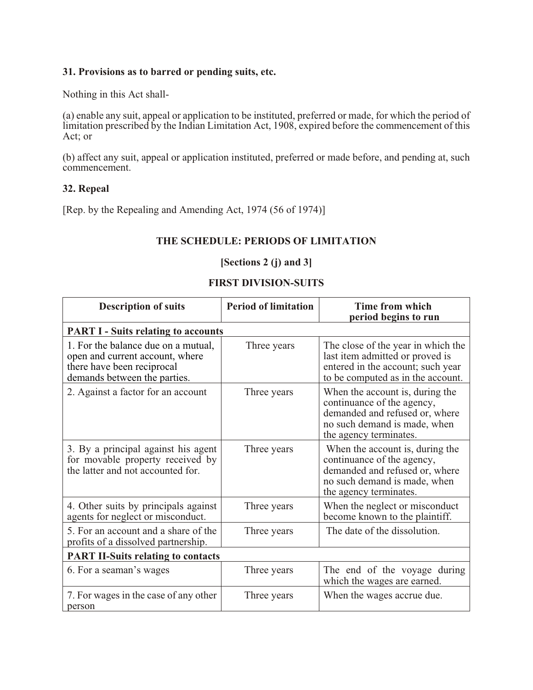## **31. Provisions as to barred or pending suits, etc.**

Nothing in this Act shall-

(a) enable any suit, appeal or application to be instituted, preferred or made, for which the period of limitation prescribed by the Indian Limitation Act, 1908, expired before the commencement of this Act; or

(b) affect any suit, appeal or application instituted, preferred or made before, and pending at, such commencement.

#### **32. Repeal**

[Rep. by the Repealing and Amending Act, 1974 (56 of 1974)]

# **THE SCHEDULE: PERIODS OF LIMITATION**

# **[Sections 2 (j) and 3]**

## **FIRST DIVISION-SUITS**

| <b>Description of suits</b>                                                                                                          | <b>Period of limitation</b> | Time from which<br>period begins to run                                                                                                                   |
|--------------------------------------------------------------------------------------------------------------------------------------|-----------------------------|-----------------------------------------------------------------------------------------------------------------------------------------------------------|
| <b>PART I - Suits relating to accounts</b>                                                                                           |                             |                                                                                                                                                           |
| 1. For the balance due on a mutual,<br>open and current account, where<br>there have been reciprocal<br>demands between the parties. | Three years                 | The close of the year in which the<br>last item admitted or proved is<br>entered in the account; such year<br>to be computed as in the account.           |
| 2. Against a factor for an account                                                                                                   | Three years                 | When the account is, during the<br>continuance of the agency,<br>demanded and refused or, where<br>no such demand is made, when<br>the agency terminates. |
| 3. By a principal against his agent<br>for movable property received by<br>the latter and not accounted for.                         | Three years                 | When the account is, during the<br>continuance of the agency,<br>demanded and refused or, where<br>no such demand is made, when<br>the agency terminates. |
| 4. Other suits by principals against<br>agents for neglect or misconduct.                                                            | Three years                 | When the neglect or misconduct<br>become known to the plaintiff.                                                                                          |
| 5. For an account and a share of the<br>profits of a dissolved partnership.                                                          | Three years                 | The date of the dissolution.                                                                                                                              |
| <b>PART II-Suits relating to contacts</b>                                                                                            |                             |                                                                                                                                                           |
| 6. For a seaman's wages                                                                                                              | Three years                 | The end of the voyage during<br>which the wages are earned.                                                                                               |
| 7. For wages in the case of any other<br>person                                                                                      | Three years                 | When the wages accrue due.                                                                                                                                |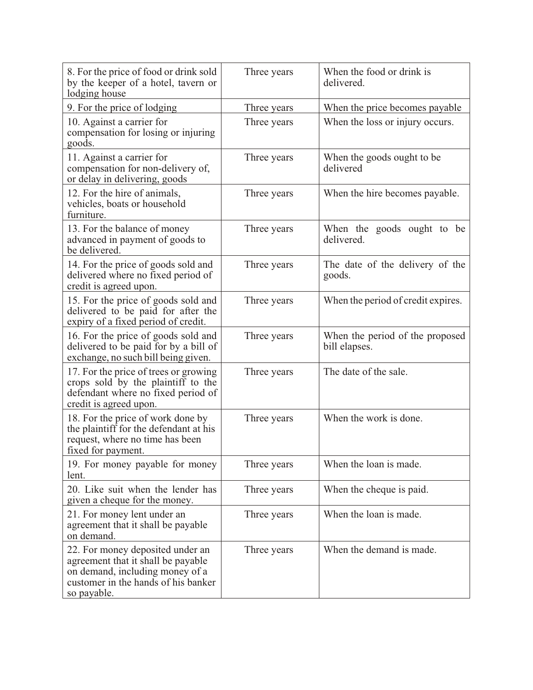| 8. For the price of food or drink sold<br>by the keeper of a hotel, tavern or<br>lodging house                                                                  | Three years | When the food or drink is<br>delivered.          |
|-----------------------------------------------------------------------------------------------------------------------------------------------------------------|-------------|--------------------------------------------------|
| 9. For the price of lodging                                                                                                                                     | Three years | When the price becomes payable                   |
| 10. Against a carrier for<br>compensation for losing or injuring<br>goods.                                                                                      | Three years | When the loss or injury occurs.                  |
| 11. Against a carrier for<br>compensation for non-delivery of,<br>or delay in delivering, goods                                                                 | Three years | When the goods ought to be.<br>delivered         |
| 12. For the hire of animals,<br>vehicles, boats or household<br>furniture.                                                                                      | Three years | When the hire becomes payable.                   |
| 13. For the balance of money<br>advanced in payment of goods to<br>be delivered.                                                                                | Three years | When the goods ought to be<br>delivered.         |
| 14. For the price of goods sold and<br>delivered where no fixed period of<br>credit is agreed upon.                                                             | Three years | The date of the delivery of the<br>goods.        |
| 15. For the price of goods sold and<br>delivered to be paid for after the<br>expiry of a fixed period of credit.                                                | Three years | When the period of credit expires.               |
| 16. For the price of goods sold and<br>delivered to be paid for by a bill of<br>exchange, no such bill being given.                                             | Three years | When the period of the proposed<br>bill elapses. |
| 17. For the price of trees or growing<br>crops sold by the plaintiff to the<br>defendant where no fixed period of<br>credit is agreed upon.                     | Three years | The date of the sale.                            |
| 18. For the price of work done by<br>the plaintiff for the defendant at his<br>request, where no time has been<br>fixed for payment.                            | Three years | When the work is done.                           |
| 19. For money payable for money<br>lent.                                                                                                                        | Three years | When the loan is made.                           |
| 20. Like suit when the lender has<br>given a cheque for the money.                                                                                              | Three years | When the cheque is paid.                         |
| 21. For money lent under an<br>agreement that it shall be payable<br>on demand.                                                                                 | Three years | When the loan is made.                           |
| 22. For money deposited under an<br>agreement that it shall be payable<br>on demand, including money of a<br>customer in the hands of his banker<br>so payable. | Three years | When the demand is made.                         |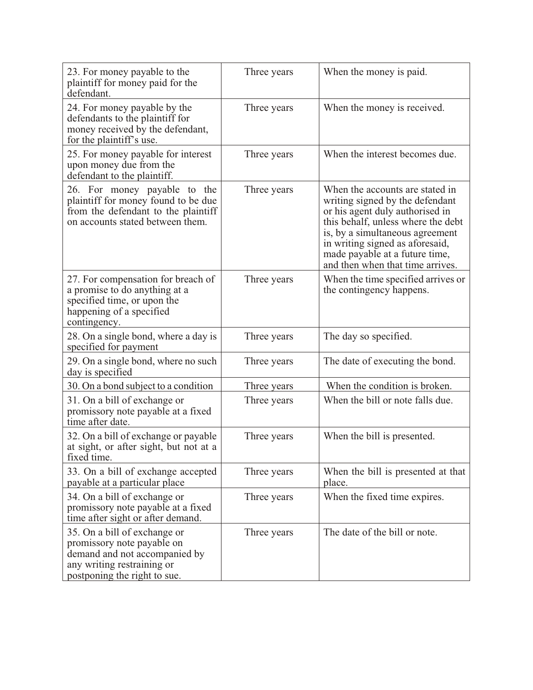| 23. For money payable to the<br>plaintiff for money paid for the<br>defendant.                                                                            | Three years | When the money is paid.                                                                                                                                                                                                                                                                 |
|-----------------------------------------------------------------------------------------------------------------------------------------------------------|-------------|-----------------------------------------------------------------------------------------------------------------------------------------------------------------------------------------------------------------------------------------------------------------------------------------|
| 24. For money payable by the<br>defendants to the plaintiff for<br>money received by the defendant,<br>for the plaintiff's use.                           | Three years | When the money is received.                                                                                                                                                                                                                                                             |
| 25. For money payable for interest<br>upon money due from the<br>defendant to the plaintiff.                                                              | Three years | When the interest becomes due.                                                                                                                                                                                                                                                          |
| 26. For money payable to the<br>plaintiff for money found to be due<br>from the defendant to the plaintiff<br>on accounts stated between them.            | Three years | When the accounts are stated in<br>writing signed by the defendant<br>or his agent duly authorised in<br>this behalf, unless where the debt<br>is, by a simultaneous agreement<br>in writing signed as aforesaid,<br>made payable at a future time,<br>and then when that time arrives. |
| 27. For compensation for breach of<br>a promise to do anything at a<br>specified time, or upon the<br>happening of a specified<br>contingency.            | Three years | When the time specified arrives or<br>the contingency happens.                                                                                                                                                                                                                          |
| 28. On a single bond, where a day is<br>specified for payment                                                                                             | Three years | The day so specified.                                                                                                                                                                                                                                                                   |
| 29. On a single bond, where no such<br>day is specified                                                                                                   | Three years | The date of executing the bond.                                                                                                                                                                                                                                                         |
| 30. On a bond subject to a condition                                                                                                                      | Three years | When the condition is broken.                                                                                                                                                                                                                                                           |
| 31. On a bill of exchange or<br>promissory note payable at a fixed<br>time after date.                                                                    | Three years | When the bill or note falls due.                                                                                                                                                                                                                                                        |
| 32. On a bill of exchange or payable<br>at sight, or after sight, but not at a<br>fixed time.                                                             | Three years | When the bill is presented.                                                                                                                                                                                                                                                             |
| 33. On a bill of exchange accepted<br>payable at a particular place                                                                                       | Three years | When the bill is presented at that<br>place.                                                                                                                                                                                                                                            |
| 34. On a bill of exchange or<br>promissory note payable at a fixed<br>time after sight or after demand.                                                   | Three years | When the fixed time expires.                                                                                                                                                                                                                                                            |
| 35. On a bill of exchange or<br>promissory note payable on<br>demand and not accompanied by<br>any writing restraining or<br>postponing the right to sue. | Three years | The date of the bill or note.                                                                                                                                                                                                                                                           |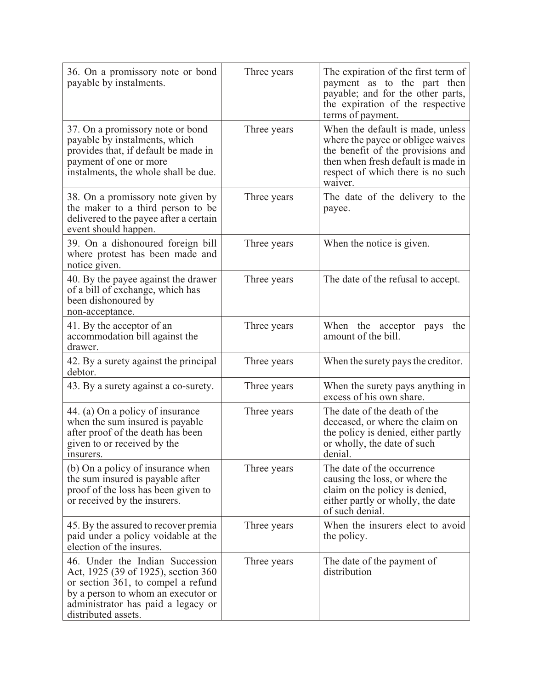| 36. On a promissory note or bond<br>payable by instalments.                                                                                                                                                     | Three years | The expiration of the first term of<br>payment as to the part then<br>payable; and for the other parts,<br>the expiration of the respective<br>terms of payment.                                 |
|-----------------------------------------------------------------------------------------------------------------------------------------------------------------------------------------------------------------|-------------|--------------------------------------------------------------------------------------------------------------------------------------------------------------------------------------------------|
| 37. On a promissory note or bond<br>payable by instalments, which<br>provides that, if default be made in<br>payment of one or more<br>instalments, the whole shall be due.                                     | Three years | When the default is made, unless<br>where the payee or obligee waives<br>the benefit of the provisions and<br>then when fresh default is made in<br>respect of which there is no such<br>waiver. |
| 38. On a promissory note given by<br>the maker to a third person to be<br>delivered to the payee after a certain<br>event should happen.                                                                        | Three years | The date of the delivery to the<br>payee.                                                                                                                                                        |
| 39. On a dishonoured foreign bill<br>where protest has been made and<br>notice given.                                                                                                                           | Three years | When the notice is given.                                                                                                                                                                        |
| 40. By the payee against the drawer<br>of a bill of exchange, which has<br>been dishonoured by<br>non-acceptance.                                                                                               | Three years | The date of the refusal to accept.                                                                                                                                                               |
| 41. By the acceptor of an<br>accommodation bill against the<br>drawer.                                                                                                                                          | Three years | When the acceptor<br>the<br>pays<br>amount of the bill.                                                                                                                                          |
| 42. By a surety against the principal<br>debtor.                                                                                                                                                                | Three years | When the surety pays the creditor.                                                                                                                                                               |
| 43. By a surety against a co-surety.                                                                                                                                                                            | Three years | When the surety pays anything in<br>excess of his own share.                                                                                                                                     |
| 44. (a) On a policy of insurance<br>when the sum insured is payable<br>after proof of the death has been<br>given to or received by the<br>insurers.                                                            | Three years | The date of the death of the<br>deceased, or where the claim on<br>the policy is denied, either partly<br>or wholly, the date of such<br>denial.                                                 |
| (b) On a policy of insurance when<br>the sum insured is payable after<br>proof of the loss has been given to<br>or received by the insurers.                                                                    | Three years | The date of the occurrence<br>causing the loss, or where the<br>claim on the policy is denied,<br>either partly or wholly, the date<br>of such denial.                                           |
| 45. By the assured to recover premia<br>paid under a policy voidable at the<br>election of the insures.                                                                                                         | Three years | When the insurers elect to avoid<br>the policy.                                                                                                                                                  |
| 46. Under the Indian Succession<br>Act, 1925 (39 of 1925), section 360<br>or section 361, to compel a refund<br>by a person to whom an executor or<br>administrator has paid a legacy or<br>distributed assets. | Three years | The date of the payment of<br>distribution                                                                                                                                                       |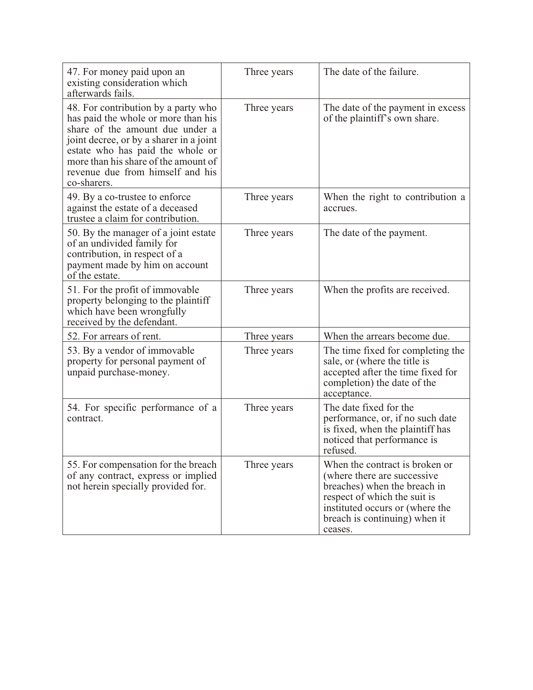| 47. For money paid upon an<br>existing consideration which<br>afterwards fails.                                                                                                                                                                                                         | Three years | The date of the failure.                                                                                                                                                                                      |
|-----------------------------------------------------------------------------------------------------------------------------------------------------------------------------------------------------------------------------------------------------------------------------------------|-------------|---------------------------------------------------------------------------------------------------------------------------------------------------------------------------------------------------------------|
| 48. For contribution by a party who<br>has paid the whole or more than his<br>share of the amount due under a<br>joint decree, or by a sharer in a joint<br>estate who has paid the whole or<br>more than his share of the amount of<br>revenue due from himself and his<br>co-sharers. | Three years | The date of the payment in excess<br>of the plaintiff's own share.                                                                                                                                            |
| 49. By a co-trustee to enforce<br>against the estate of a deceased<br>trustee a claim for contribution.                                                                                                                                                                                 | Three years | When the right to contribution a<br>accrues.                                                                                                                                                                  |
| 50. By the manager of a joint estate<br>of an undivided family for<br>contribution, in respect of a<br>payment made by him on account<br>of the estate.                                                                                                                                 | Three years | The date of the payment.                                                                                                                                                                                      |
| 51. For the profit of immovable<br>property belonging to the plaintiff<br>which have been wrongfully<br>received by the defendant.                                                                                                                                                      | Three years | When the profits are received.                                                                                                                                                                                |
| 52. For arrears of rent.                                                                                                                                                                                                                                                                | Three years | When the arrears become due.                                                                                                                                                                                  |
| 53. By a vendor of immovable<br>property for personal payment of<br>unpaid purchase-money.                                                                                                                                                                                              | Three years | The time fixed for completing the<br>sale, or (where the title is<br>accepted after the time fixed for<br>completion) the date of the<br>acceptance.                                                          |
| 54. For specific performance of a<br>contract.                                                                                                                                                                                                                                          | Three years | The date fixed for the<br>performance, or, if no such date<br>is fixed, when the plaintiff has<br>noticed that performance is<br>refused.                                                                     |
| 55. For compensation for the breach<br>of any contract, express or implied<br>not herein specially provided for.                                                                                                                                                                        | Three years | When the contract is broken or<br>(where there are successive)<br>breaches) when the breach in<br>respect of which the suit is<br>instituted occurs or (where the<br>breach is continuing) when it<br>ceases. |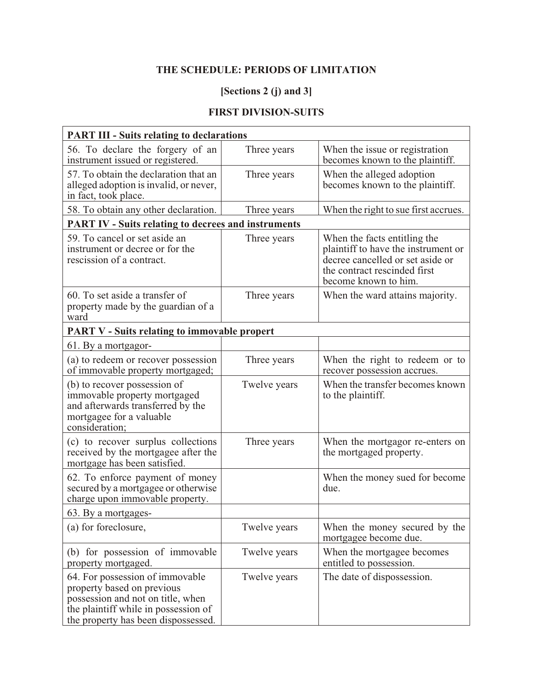# **THE SCHEDULE: PERIODS OF LIMITATION**

# **[Sections 2 (j) and 3]**

# **FIRST DIVISION-SUITS**

| <b>PART III - Suits relating to declarations</b>                                                                                                                                  |              |                                                                                                                                                                 |
|-----------------------------------------------------------------------------------------------------------------------------------------------------------------------------------|--------------|-----------------------------------------------------------------------------------------------------------------------------------------------------------------|
| 56. To declare the forgery of an<br>instrument issued or registered.                                                                                                              | Three years  | When the issue or registration<br>becomes known to the plaintiff.                                                                                               |
| 57. To obtain the declaration that an<br>alleged adoption is invalid, or never,<br>in fact, took place.                                                                           | Three years  | When the alleged adoption<br>becomes known to the plaintiff.                                                                                                    |
| 58. To obtain any other declaration.                                                                                                                                              | Three years  | When the right to sue first accrues.                                                                                                                            |
| <b>PART IV - Suits relating to decrees and instruments</b>                                                                                                                        |              |                                                                                                                                                                 |
| 59. To cancel or set aside an<br>instrument or decree or for the<br>rescission of a contract.                                                                                     | Three years  | When the facts entitling the<br>plaintiff to have the instrument or<br>decree cancelled or set aside or<br>the contract rescinded first<br>become known to him. |
| 60. To set aside a transfer of<br>property made by the guardian of a<br>ward                                                                                                      | Three years  | When the ward attains majority.                                                                                                                                 |
| <b>PART V - Suits relating to immovable propert</b>                                                                                                                               |              |                                                                                                                                                                 |
| 61. By a mortgagor-                                                                                                                                                               |              |                                                                                                                                                                 |
| (a) to redeem or recover possession<br>of immovable property mortgaged;                                                                                                           | Three years  | When the right to redeem or to<br>recover possession accrues.                                                                                                   |
| (b) to recover possession of<br>immovable property mortgaged<br>and afterwards transferred by the<br>mortgagee for a valuable<br>consideration;                                   | Twelve years | When the transfer becomes known<br>to the plaintiff.                                                                                                            |
| (c) to recover surplus collections<br>received by the mortgagee after the<br>mortgage has been satisfied.                                                                         | Three years  | When the mortgagor re-enters on<br>the mortgaged property.                                                                                                      |
| 62. To enforce payment of money<br>secured by a mortgagee or otherwise<br>charge upon immovable property.                                                                         |              | When the money sued for become<br>due.                                                                                                                          |
| 63. By a mortgages-                                                                                                                                                               |              |                                                                                                                                                                 |
| (a) for foreclosure,                                                                                                                                                              | Twelve years | When the money secured by the<br>mortgagee become due.                                                                                                          |
| (b) for possession of immovable<br>property mortgaged.                                                                                                                            | Twelve years | When the mortgagee becomes<br>entitled to possession.                                                                                                           |
| 64. For possession of immovable<br>property based on previous<br>possession and not on title, when<br>the plaintiff while in possession of<br>the property has been dispossessed. | Twelve years | The date of dispossession.                                                                                                                                      |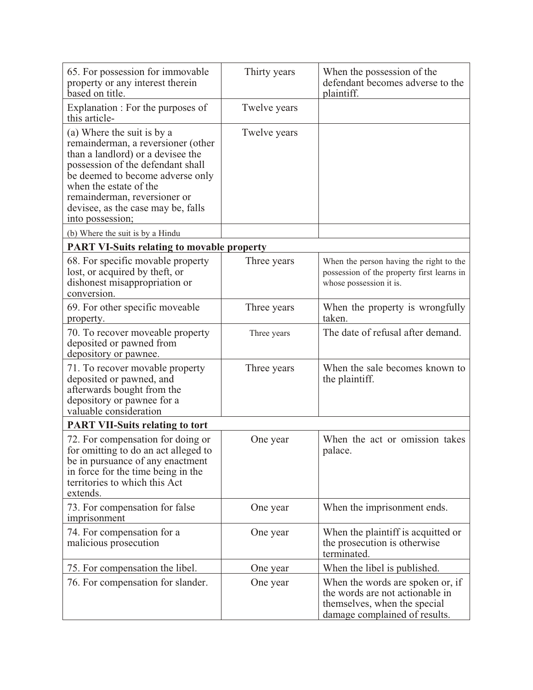| 65. For possession for immovable<br>property or any interest therein<br>based on title.                                                                                                                                                                                                                                                | Thirty years | When the possession of the<br>defendant becomes adverse to the<br>plaintiff.                                                         |
|----------------------------------------------------------------------------------------------------------------------------------------------------------------------------------------------------------------------------------------------------------------------------------------------------------------------------------------|--------------|--------------------------------------------------------------------------------------------------------------------------------------|
| Explanation : For the purposes of<br>this article-                                                                                                                                                                                                                                                                                     | Twelve years |                                                                                                                                      |
| (a) Where the suit is by a<br>remainderman, a reversioner (other<br>than a landlord) or a devisee the<br>possession of the defendant shall<br>be deemed to become adverse only<br>when the estate of the<br>remainderman, reversioner or<br>devisee, as the case may be, falls<br>into possession;<br>(b) Where the suit is by a Hindu | Twelve years |                                                                                                                                      |
| <b>PART VI-Suits relating to movable property</b>                                                                                                                                                                                                                                                                                      |              |                                                                                                                                      |
| 68. For specific movable property<br>lost, or acquired by theft, or<br>dishonest misappropriation or<br>conversion.                                                                                                                                                                                                                    | Three years  | When the person having the right to the<br>possession of the property first learns in<br>whose possession it is.                     |
| 69. For other specific moveable<br>property.                                                                                                                                                                                                                                                                                           | Three years  | When the property is wrongfully<br>taken.                                                                                            |
| 70. To recover moveable property<br>deposited or pawned from<br>depository or pawnee.                                                                                                                                                                                                                                                  | Three years  | The date of refusal after demand.                                                                                                    |
| 71. To recover movable property<br>deposited or pawned, and<br>afterwards bought from the<br>depository or pawnee for a<br>valuable consideration                                                                                                                                                                                      | Three years  | When the sale becomes known to<br>the plaintiff.                                                                                     |
| <b>PART VII-Suits relating to tort</b>                                                                                                                                                                                                                                                                                                 |              |                                                                                                                                      |
| 72. For compensation for doing or<br>for omitting to do an act alleged to<br>be in pursuance of any enactment<br>in force for the time being in the<br>territories to which this Act<br>extends.                                                                                                                                       | One year     | When the act or omission takes<br>palace.                                                                                            |
| 73. For compensation for false<br>imprisonment                                                                                                                                                                                                                                                                                         | One year     | When the imprisonment ends.                                                                                                          |
| 74. For compensation for a<br>malicious prosecution                                                                                                                                                                                                                                                                                    | One year     | When the plaintiff is acquitted or<br>the prosecution is otherwise<br>terminated.                                                    |
| 75. For compensation the libel.                                                                                                                                                                                                                                                                                                        | One year     | When the libel is published.                                                                                                         |
| 76. For compensation for slander.                                                                                                                                                                                                                                                                                                      | One year     | When the words are spoken or, if<br>the words are not actionable in<br>themselves, when the special<br>damage complained of results. |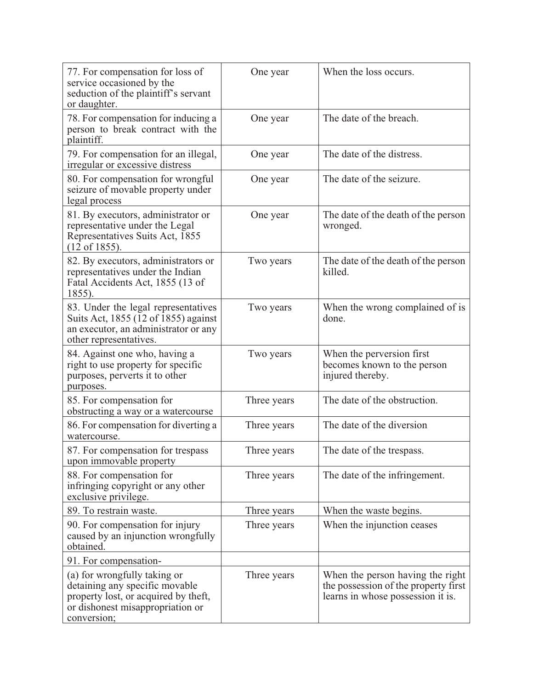| 77. For compensation for loss of<br>service occasioned by the<br>seduction of the plaintiff's servant<br>or daughter.                                     | One year    | When the loss occurs.                                                                                         |
|-----------------------------------------------------------------------------------------------------------------------------------------------------------|-------------|---------------------------------------------------------------------------------------------------------------|
| 78. For compensation for inducing a<br>person to break contract with the<br>plaintiff.                                                                    | One year    | The date of the breach.                                                                                       |
| 79. For compensation for an illegal,<br>irregular or excessive distress                                                                                   | One year    | The date of the distress.                                                                                     |
| 80. For compensation for wrongful<br>seizure of movable property under<br>legal process                                                                   | One year    | The date of the seizure.                                                                                      |
| 81. By executors, administrator or<br>representative under the Legal<br>Representatives Suits Act, 1855<br>$(12 \text{ of } 1855).$                       | One year    | The date of the death of the person<br>wronged.                                                               |
| 82. By executors, administrators or<br>representatives under the Indian<br>Fatal Accidents Act, 1855 (13 of<br>1855).                                     | Two years   | The date of the death of the person<br>killed.                                                                |
| 83. Under the legal representatives<br>Suits Act, 1855 (12 of 1855) against<br>an executor, an administrator or any<br>other representatives.             | Two years   | When the wrong complained of is<br>done.                                                                      |
| 84. Against one who, having a<br>right to use property for specific<br>purposes, perverts it to other<br>purposes.                                        | Two years   | When the perversion first<br>becomes known to the person<br>injured thereby.                                  |
| 85. For compensation for<br>obstructing a way or a watercourse                                                                                            | Three years | The date of the obstruction.                                                                                  |
| 86. For compensation for diverting a<br>watercourse.                                                                                                      | Three years | The date of the diversion                                                                                     |
| 87. For compensation for trespass<br>upon immovable property                                                                                              | Three years | The date of the trespass.                                                                                     |
| 88. For compensation for<br>infringing copyright or any other<br>exclusive privilege.                                                                     | Three years | The date of the infringement.                                                                                 |
| 89. To restrain waste.                                                                                                                                    | Three years | When the waste begins.                                                                                        |
| 90. For compensation for injury<br>caused by an injunction wrongfully<br>obtained.                                                                        | Three years | When the injunction ceases                                                                                    |
| 91. For compensation-                                                                                                                                     |             |                                                                                                               |
| (a) for wrongfully taking or<br>detaining any specific movable<br>property lost, or acquired by theft,<br>or dishonest misappropriation or<br>conversion; | Three years | When the person having the right<br>the possession of the property first<br>learns in whose possession it is. |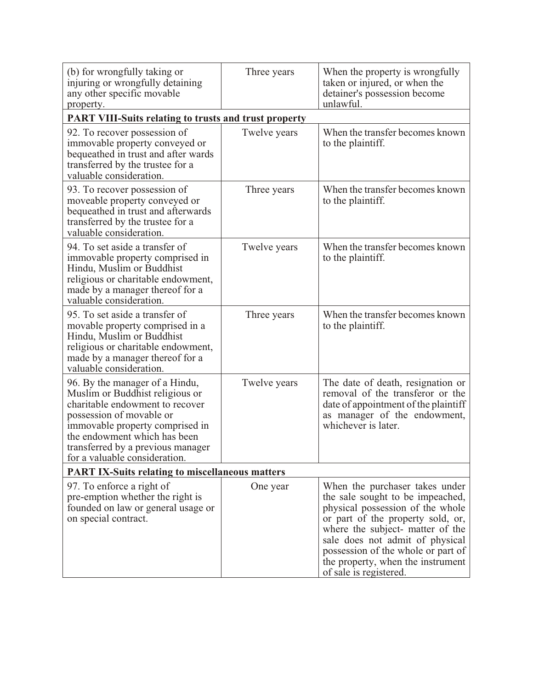| (b) for wrongfully taking or<br>injuring or wrongfully detaining<br>any other specific movable<br>property.                                                                                                                                                               | Three years  | When the property is wrongfully<br>taken or injured, or when the<br>detainer's possession become<br>unlawful.                                                                                                                                                                                                           |  |
|---------------------------------------------------------------------------------------------------------------------------------------------------------------------------------------------------------------------------------------------------------------------------|--------------|-------------------------------------------------------------------------------------------------------------------------------------------------------------------------------------------------------------------------------------------------------------------------------------------------------------------------|--|
| <b>PART VIII-Suits relating to trusts and trust property</b>                                                                                                                                                                                                              |              |                                                                                                                                                                                                                                                                                                                         |  |
| 92. To recover possession of<br>immovable property conveyed or<br>bequeathed in trust and after wards<br>transferred by the trustee for a<br>valuable consideration.                                                                                                      | Twelve years | When the transfer becomes known<br>to the plaintiff.                                                                                                                                                                                                                                                                    |  |
| 93. To recover possession of<br>moveable property conveyed or<br>bequeathed in trust and afterwards<br>transferred by the trustee for a<br>valuable consideration.                                                                                                        | Three years  | When the transfer becomes known<br>to the plaintiff.                                                                                                                                                                                                                                                                    |  |
| 94. To set aside a transfer of<br>immovable property comprised in<br>Hindu, Muslim or Buddhist<br>religious or charitable endowment,<br>made by a manager thereof for a<br>valuable consideration.                                                                        | Twelve years | When the transfer becomes known<br>to the plaintiff.                                                                                                                                                                                                                                                                    |  |
| 95. To set aside a transfer of<br>movable property comprised in a<br>Hindu, Muslim or Buddhist<br>religious or charitable endowment,<br>made by a manager thereof for a<br>valuable consideration.                                                                        | Three years  | When the transfer becomes known<br>to the plaintiff.                                                                                                                                                                                                                                                                    |  |
| 96. By the manager of a Hindu,<br>Muslim or Buddhist religious or<br>charitable endowment to recover<br>possession of movable or<br>immovable property comprised in<br>the endowment which has been<br>transferred by a previous manager<br>for a valuable consideration. | Twelve years | The date of death, resignation or<br>removal of the transferor or the<br>date of appointment of the plaintiff<br>as manager of the endowment,<br>whichever is later.                                                                                                                                                    |  |
| <b>PART IX-Suits relating to miscellaneous matters</b>                                                                                                                                                                                                                    |              |                                                                                                                                                                                                                                                                                                                         |  |
| 97. To enforce a right of<br>pre-emption whether the right is<br>founded on law or general usage or<br>on special contract.                                                                                                                                               | One year     | When the purchaser takes under<br>the sale sought to be impeached,<br>physical possession of the whole<br>or part of the property sold, or,<br>where the subject- matter of the<br>sale does not admit of physical<br>possession of the whole or part of<br>the property, when the instrument<br>of sale is registered. |  |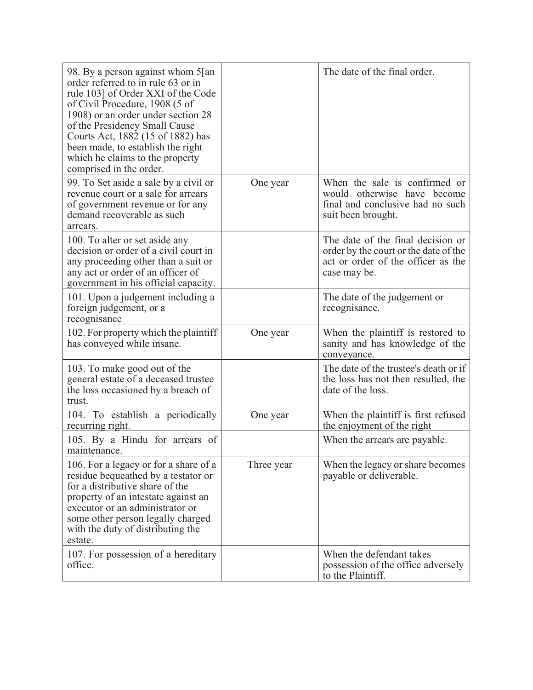| 98. By a person against whom 5[an]<br>order referred to in rule 63 or in<br>rule 103] of Order XXI of the Code<br>of Civil Procedure, 1908 (5 of<br>1908) or an order under section 28<br>of the Presidency Small Cause<br>Courts Act, 1882 (15 of 1882) has<br>been made, to establish the right<br>which he claims to the property<br>comprised in the order. |            | The date of the final order.                                                                                                     |
|-----------------------------------------------------------------------------------------------------------------------------------------------------------------------------------------------------------------------------------------------------------------------------------------------------------------------------------------------------------------|------------|----------------------------------------------------------------------------------------------------------------------------------|
| 99. To Set aside a sale by a civil or<br>revenue court or a sale for arrears<br>of government revenue or for any<br>demand recoverable as such<br>arrears.                                                                                                                                                                                                      | One year   | When the sale is confirmed or<br>would otherwise have become<br>final and conclusive had no such<br>suit been brought.           |
| 100. To alter or set aside any<br>decision or order of a civil court in<br>any proceeding other than a suit or<br>any act or order of an officer of<br>government in his official capacity.                                                                                                                                                                     |            | The date of the final decision or<br>order by the court or the date of the<br>act or order of the officer as the<br>case may be. |
| 101. Upon a judgement including a<br>foreign judgement, or a<br>recognisance                                                                                                                                                                                                                                                                                    |            | The date of the judgement or<br>recognisance.                                                                                    |
| 102. For property which the plaintiff<br>has conveyed while insane.                                                                                                                                                                                                                                                                                             | One year   | When the plaintiff is restored to<br>sanity and has knowledge of the<br>conveyance.                                              |
| 103. To make good out of the<br>general estate of a deceased trustee<br>the loss occasioned by a breach of<br>trust.                                                                                                                                                                                                                                            |            | The date of the trustee's death or if<br>the loss has not then resulted, the<br>date of the loss.                                |
| 104. To establish a periodically<br>recurring right.                                                                                                                                                                                                                                                                                                            | One year   | When the plaintiff is first refused<br>the enjoyment of the right                                                                |
| 105. By a Hindu for arrears of<br>maintenance.                                                                                                                                                                                                                                                                                                                  |            | When the arrears are payable.                                                                                                    |
| 106. For a legacy or for a share of a<br>residue bequeathed by a testator or<br>for a distributive share of the<br>property of an intestate against an<br>executor or an administrator or<br>some other person legally charged<br>with the duty of distributing the<br>estate.                                                                                  | Three year | When the legacy or share becomes<br>payable or deliverable.                                                                      |
| 107. For possession of a hereditary<br>office.                                                                                                                                                                                                                                                                                                                  |            | When the defendant takes<br>possession of the office adversely<br>to the Plaintiff.                                              |